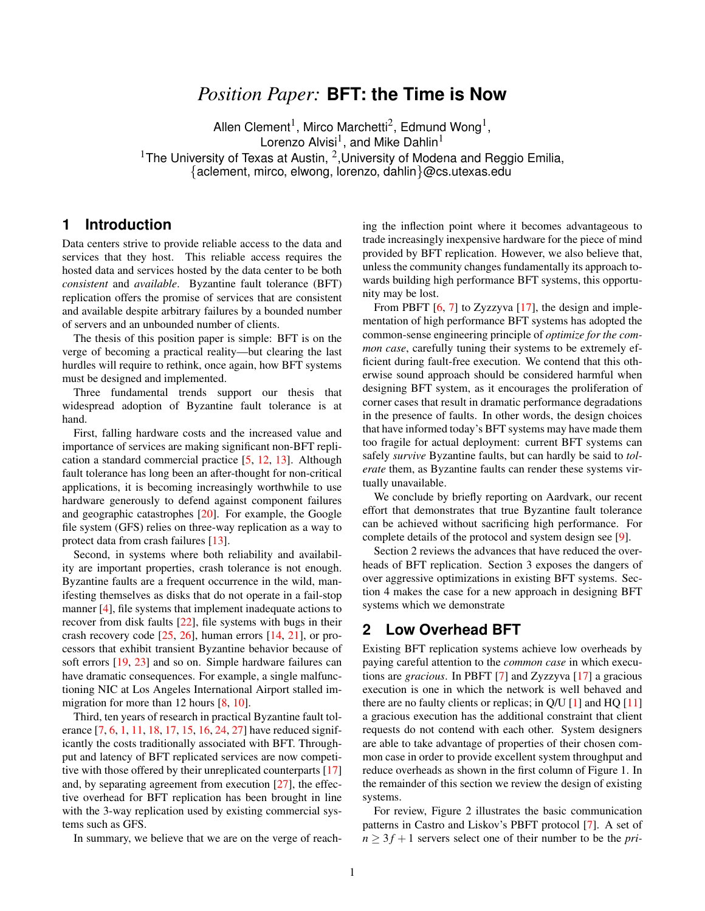# *Position Paper:* **BFT: the Time is Now**

Allen Clement<sup>1</sup>, Mirco Marchetti<sup>2</sup>, Edmund Wong<sup>1</sup>, Lorenzo Alvisi $^1$ , and Mike Dahlin $^1$ <sup>1</sup>The University of Texas at Austin, <sup>2</sup>, University of Modena and Reggio Emilia, {aclement, mirco, elwong, lorenzo, dahlin}@cs.utexas.edu

#### **1 Introduction**

Data centers strive to provide reliable access to the data and services that they host. This reliable access requires the hosted data and services hosted by the data center to be both *consistent* and *available*. Byzantine fault tolerance (BFT) replication offers the promise of services that are consistent and available despite arbitrary failures by a bounded number of servers and an unbounded number of clients.

The thesis of this position paper is simple: BFT is on the verge of becoming a practical reality—but clearing the last hurdles will require to rethink, once again, how BFT systems must be designed and implemented.

Three fundamental trends support our thesis that widespread adoption of Byzantine fault tolerance is at hand.

First, falling hardware costs and the increased value and importance of services are making significant non-BFT replication a standard commercial practice [\[5,](#page-3-0) [12,](#page-3-1) [13\]](#page-3-2). Although fault tolerance has long been an after-thought for non-critical applications, it is becoming increasingly worthwhile to use hardware generously to defend against component failures and geographic catastrophes [\[20\]](#page-3-3). For example, the Google file system (GFS) relies on three-way replication as a way to protect data from crash failures [\[13\]](#page-3-2).

Second, in systems where both reliability and availability are important properties, crash tolerance is not enough. Byzantine faults are a frequent occurrence in the wild, manifesting themselves as disks that do not operate in a fail-stop manner [\[4\]](#page-3-4), file systems that implement inadequate actions to recover from disk faults [\[22\]](#page-3-5), file systems with bugs in their crash recovery code [\[25,](#page-3-6) [26\]](#page-3-7), human errors [\[14,](#page-3-8) [21\]](#page-3-9), or processors that exhibit transient Byzantine behavior because of soft errors [\[19,](#page-3-10) [23\]](#page-3-11) and so on. Simple hardware failures can have dramatic consequences. For example, a single malfunctioning NIC at Los Angeles International Airport stalled im-migration for more than 12 hours [\[8,](#page-3-12) [10\]](#page-3-13).

Third, ten years of research in practical Byzantine fault tolerance [\[7,](#page-3-14) [6,](#page-3-15) [1,](#page-3-16) [11,](#page-3-17) [18,](#page-3-18) [17,](#page-3-19) [15,](#page-3-20) [16,](#page-3-21) [24,](#page-3-22) [27\]](#page-3-23) have reduced significantly the costs traditionally associated with BFT. Throughput and latency of BFT replicated services are now competitive with those offered by their unreplicated counterparts [\[17\]](#page-3-19) and, by separating agreement from execution [\[27\]](#page-3-23), the effective overhead for BFT replication has been brought in line with the 3-way replication used by existing commercial systems such as GFS.

In summary, we believe that we are on the verge of reach-

ing the inflection point where it becomes advantageous to trade increasingly inexpensive hardware for the piece of mind provided by BFT replication. However, we also believe that, unless the community changes fundamentally its approach towards building high performance BFT systems, this opportunity may be lost.

From PBFT [\[6,](#page-3-15) [7\]](#page-3-14) to Zyzzyva [\[17\]](#page-3-19), the design and implementation of high performance BFT systems has adopted the common-sense engineering principle of *optimize for the common case*, carefully tuning their systems to be extremely efficient during fault-free execution. We contend that this otherwise sound approach should be considered harmful when designing BFT system, as it encourages the proliferation of corner cases that result in dramatic performance degradations in the presence of faults. In other words, the design choices that have informed today's BFT systems may have made them too fragile for actual deployment: current BFT systems can safely *survive* Byzantine faults, but can hardly be said to *tolerate* them, as Byzantine faults can render these systems virtually unavailable.

We conclude by briefly reporting on Aardvark, our recent effort that demonstrates that true Byzantine fault tolerance can be achieved without sacrificing high performance. For complete details of the protocol and system design see [\[9\]](#page-3-24).

Section [2](#page-0-0) reviews the advances that have reduced the overheads of BFT replication. Section [3](#page-1-0) exposes the dangers of over aggressive optimizations in existing BFT systems. Section [4](#page-2-0) makes the case for a new approach in designing BFT systems which we demonstrate

### <span id="page-0-0"></span>**2 Low Overhead BFT**

Existing BFT replication systems achieve low overheads by paying careful attention to the *common case* in which executions are *gracious*. In PBFT [\[7\]](#page-3-14) and Zyzzyva [\[17\]](#page-3-19) a gracious execution is one in which the network is well behaved and there are no faulty clients or replicas; in  $Q/U$  [\[1\]](#page-3-16) and  $HQ$  [\[11\]](#page-3-17) a gracious execution has the additional constraint that client requests do not contend with each other. System designers are able to take advantage of properties of their chosen common case in order to provide excellent system throughput and reduce overheads as shown in the first column of Figure [1.](#page-1-1) In the remainder of this section we review the design of existing systems.

For review, Figure [2](#page-1-2) illustrates the basic communication patterns in Castro and Liskov's PBFT protocol [\[7\]](#page-3-14). A set of  $n \geq 3f + 1$  servers select one of their number to be the *pri*-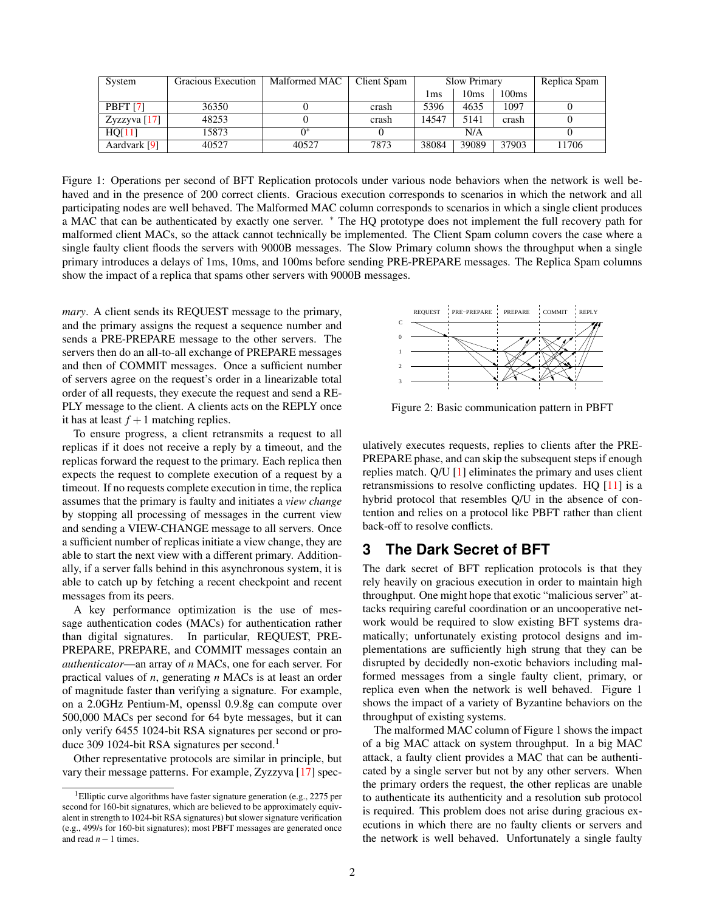| System              | Gracious Execution | Malformed MAC | Client Spam | <b>Slow Primary</b> |       |       | Replica Spam |
|---------------------|--------------------|---------------|-------------|---------------------|-------|-------|--------------|
|                     |                    |               |             | lms                 | 10ms  | 100ms |              |
| PBFT <sub>[7]</sub> | 36350              |               | crash       | 5396                | 4635  | 1097  |              |
| Zyzzyva $[17]$      | 48253              |               | crash       | 14547               | 5141  | crash |              |
| HQ[11]              | 15873              | 0*            |             | N/A                 |       |       |              |
| Aardvark [9]        | 40527              | 40527         | 7873        | 38084               | 39089 | 37903 | 11706        |

<span id="page-1-1"></span>Figure 1: Operations per second of BFT Replication protocols under various node behaviors when the network is well behaved and in the presence of 200 correct clients. Gracious execution corresponds to scenarios in which the network and all participating nodes are well behaved. The Malformed MAC column corresponds to scenarios in which a single client produces a MAC that can be authenticated by exactly one server. <sup>∗</sup> The HQ prototype does not implement the full recovery path for malformed client MACs, so the attack cannot technically be implemented. The Client Spam column covers the case where a single faulty client floods the servers with 9000B messages. The Slow Primary column shows the throughput when a single primary introduces a delays of 1ms, 10ms, and 100ms before sending PRE-PREPARE messages. The Replica Spam columns show the impact of a replica that spams other servers with 9000B messages.

*mary*. A client sends its REQUEST message to the primary, and the primary assigns the request a sequence number and sends a PRE-PREPARE message to the other servers. The servers then do an all-to-all exchange of PREPARE messages and then of COMMIT messages. Once a sufficient number of servers agree on the request's order in a linearizable total order of all requests, they execute the request and send a RE-PLY message to the client. A clients acts on the REPLY once it has at least  $f + 1$  matching replies.

To ensure progress, a client retransmits a request to all replicas if it does not receive a reply by a timeout, and the replicas forward the request to the primary. Each replica then expects the request to complete execution of a request by a timeout. If no requests complete execution in time, the replica assumes that the primary is faulty and initiates a *view change* by stopping all processing of messages in the current view and sending a VIEW-CHANGE message to all servers. Once a sufficient number of replicas initiate a view change, they are able to start the next view with a different primary. Additionally, if a server falls behind in this asynchronous system, it is able to catch up by fetching a recent checkpoint and recent messages from its peers.

A key performance optimization is the use of message authentication codes (MACs) for authentication rather than digital signatures. In particular, REQUEST, PRE-PREPARE, PREPARE, and COMMIT messages contain an *authenticator*—an array of *n* MACs, one for each server. For practical values of *n*, generating *n* MACs is at least an order of magnitude faster than verifying a signature. For example, on a 2.0GHz Pentium-M, openssl 0.9.8g can compute over 500,000 MACs per second for 64 byte messages, but it can only verify 6455 1024-bit RSA signatures per second or pro-duce 309 [1](#page-1-3)024-bit RSA signatures per second.<sup>1</sup>

Other representative protocols are similar in principle, but vary their message patterns. For example, Zyzzyva [\[17\]](#page-3-19) spec-



<span id="page-1-2"></span>Figure 2: Basic communication pattern in PBFT

ulatively executes requests, replies to clients after the PRE-PREPARE phase, and can skip the subsequent steps if enough replies match. Q/U [\[1\]](#page-3-16) eliminates the primary and uses client retransmissions to resolve conflicting updates. HQ [\[11\]](#page-3-17) is a hybrid protocol that resembles Q/U in the absence of contention and relies on a protocol like PBFT rather than client back-off to resolve conflicts.

### <span id="page-1-0"></span>**3 The Dark Secret of BFT**

The dark secret of BFT replication protocols is that they rely heavily on gracious execution in order to maintain high throughput. One might hope that exotic "malicious server" attacks requiring careful coordination or an uncooperative network would be required to slow existing BFT systems dramatically; unfortunately existing protocol designs and implementations are sufficiently high strung that they can be disrupted by decidedly non-exotic behaviors including malformed messages from a single faulty client, primary, or replica even when the network is well behaved. Figure [1](#page-1-1) shows the impact of a variety of Byzantine behaviors on the throughput of existing systems.

The malformed MAC column of Figure [1](#page-1-1) shows the impact of a big MAC attack on system throughput. In a big MAC attack, a faulty client provides a MAC that can be authenticated by a single server but not by any other servers. When the primary orders the request, the other replicas are unable to authenticate its authenticity and a resolution sub protocol is required. This problem does not arise during gracious executions in which there are no faulty clients or servers and the network is well behaved. Unfortunately a single faulty

<span id="page-1-3"></span><sup>&</sup>lt;sup>1</sup>Elliptic curve algorithms have faster signature generation (e.g., 2275 per second for 160-bit signatures, which are believed to be approximately equivalent in strength to 1024-bit RSA signatures) but slower signature verification (e.g., 499/s for 160-bit signatures); most PBFT messages are generated once and read *n*−1 times.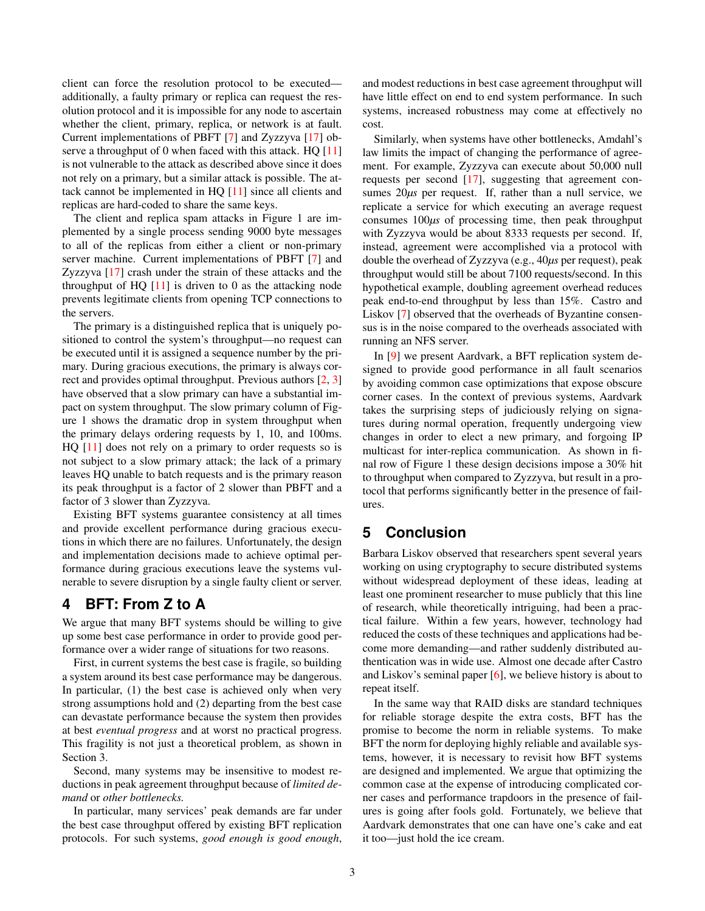client can force the resolution protocol to be executed additionally, a faulty primary or replica can request the resolution protocol and it is impossible for any node to ascertain whether the client, primary, replica, or network is at fault. Current implementations of PBFT [\[7\]](#page-3-14) and Zyzzyva [\[17\]](#page-3-19) observe a throughput of 0 when faced with this attack. HQ  $[11]$ is not vulnerable to the attack as described above since it does not rely on a primary, but a similar attack is possible. The attack cannot be implemented in HQ [\[11\]](#page-3-17) since all clients and replicas are hard-coded to share the same keys.

The client and replica spam attacks in Figure [1](#page-1-1) are implemented by a single process sending 9000 byte messages to all of the replicas from either a client or non-primary server machine. Current implementations of PBFT [\[7\]](#page-3-14) and Zyzzyva [\[17\]](#page-3-19) crash under the strain of these attacks and the throughput of HQ  $[11]$  is driven to 0 as the attacking node prevents legitimate clients from opening TCP connections to the servers.

The primary is a distinguished replica that is uniquely positioned to control the system's throughput—no request can be executed until it is assigned a sequence number by the primary. During gracious executions, the primary is always correct and provides optimal throughput. Previous authors [\[2,](#page-3-25) [3\]](#page-3-26) have observed that a slow primary can have a substantial impact on system throughput. The slow primary column of Figure [1](#page-1-1) shows the dramatic drop in system throughput when the primary delays ordering requests by 1, 10, and 100ms. HQ [\[11\]](#page-3-17) does not rely on a primary to order requests so is not subject to a slow primary attack; the lack of a primary leaves HQ unable to batch requests and is the primary reason its peak throughput is a factor of 2 slower than PBFT and a factor of 3 slower than Zyzzyva.

Existing BFT systems guarantee consistency at all times and provide excellent performance during gracious executions in which there are no failures. Unfortunately, the design and implementation decisions made to achieve optimal performance during gracious executions leave the systems vulnerable to severe disruption by a single faulty client or server.

### <span id="page-2-0"></span>**4 BFT: From Z to A**

We argue that many BFT systems should be willing to give up some best case performance in order to provide good performance over a wider range of situations for two reasons.

First, in current systems the best case is fragile, so building a system around its best case performance may be dangerous. In particular, (1) the best case is achieved only when very strong assumptions hold and (2) departing from the best case can devastate performance because the system then provides at best *eventual progress* and at worst no practical progress. This fragility is not just a theoretical problem, as shown in Section [3.](#page-1-0)

Second, many systems may be insensitive to modest reductions in peak agreement throughput because of *limited demand* or *other bottlenecks.*

In particular, many services' peak demands are far under the best case throughput offered by existing BFT replication protocols. For such systems, *good enough is good enough*, and modest reductions in best case agreement throughput will have little effect on end to end system performance. In such systems, increased robustness may come at effectively no cost.

Similarly, when systems have other bottlenecks, Amdahl's law limits the impact of changing the performance of agreement. For example, Zyzzyva can execute about 50,000 null requests per second [\[17\]](#page-3-19), suggesting that agreement consumes 20*µs* per request. If, rather than a null service, we replicate a service for which executing an average request consumes 100*µs* of processing time, then peak throughput with Zyzzyva would be about 8333 requests per second. If, instead, agreement were accomplished via a protocol with double the overhead of Zyzzyva (e.g., 40*µs* per request), peak throughput would still be about 7100 requests/second. In this hypothetical example, doubling agreement overhead reduces peak end-to-end throughput by less than 15%. Castro and Liskov [\[7\]](#page-3-14) observed that the overheads of Byzantine consensus is in the noise compared to the overheads associated with running an NFS server.

In [\[9\]](#page-3-24) we present Aardvark, a BFT replication system designed to provide good performance in all fault scenarios by avoiding common case optimizations that expose obscure corner cases. In the context of previous systems, Aardvark takes the surprising steps of judiciously relying on signatures during normal operation, frequently undergoing view changes in order to elect a new primary, and forgoing IP multicast for inter-replica communication. As shown in final row of Figure [1](#page-1-1) these design decisions impose a 30% hit to throughput when compared to Zyzzyva, but result in a protocol that performs significantly better in the presence of failures.

## **5 Conclusion**

Barbara Liskov observed that researchers spent several years working on using cryptography to secure distributed systems without widespread deployment of these ideas, leading at least one prominent researcher to muse publicly that this line of research, while theoretically intriguing, had been a practical failure. Within a few years, however, technology had reduced the costs of these techniques and applications had become more demanding—and rather suddenly distributed authentication was in wide use. Almost one decade after Castro and Liskov's seminal paper [\[6\]](#page-3-15), we believe history is about to repeat itself.

In the same way that RAID disks are standard techniques for reliable storage despite the extra costs, BFT has the promise to become the norm in reliable systems. To make BFT the norm for deploying highly reliable and available systems, however, it is necessary to revisit how BFT systems are designed and implemented. We argue that optimizing the common case at the expense of introducing complicated corner cases and performance trapdoors in the presence of failures is going after fools gold. Fortunately, we believe that Aardvark demonstrates that one can have one's cake and eat it too—just hold the ice cream.